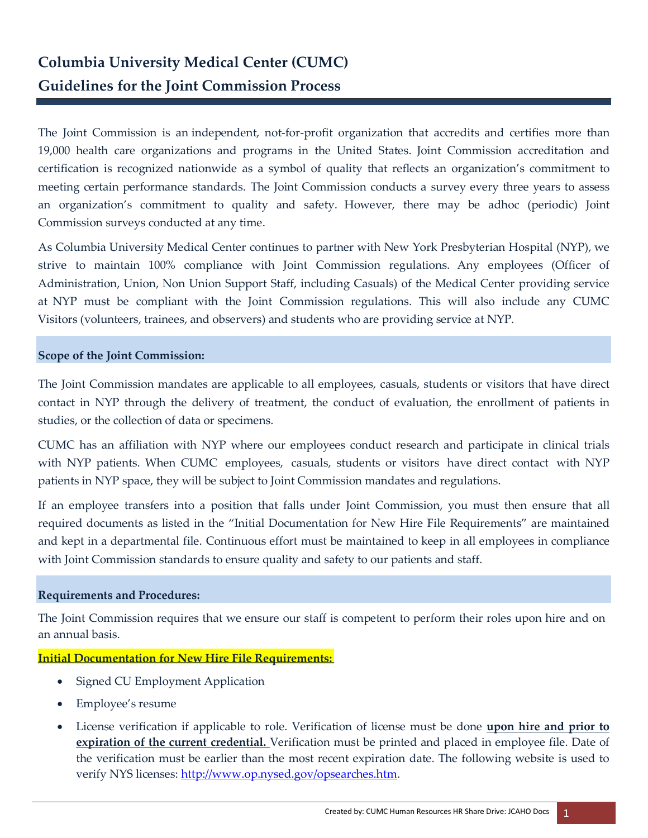# **Columbia University Medical Center (CUMC) Guidelines for the Joint Commission Process**

The Joint Commission is an independent, not-for-profit organization that accredits and certifies more than 19,000 health care organizations and programs in the United States. Joint Commission accreditation and certification is recognized nationwide as a symbol of quality that reflects an organization's commitment to meeting certain performance standards. The Joint Commission conducts a survey every three years to assess an organization's commitment to quality and safety. However, there may be adhoc (periodic) Joint Commission surveys conducted at any time.

As Columbia University Medical Center continues to partner with New York Presbyterian Hospital (NYP), we strive to maintain 100% compliance with Joint Commission regulations. Any employees (Officer of Administration, Union, Non Union Support Staff, including Casuals) of the Medical Center providing service at NYP must be compliant with the Joint Commission regulations. This will also include any CUMC Visitors (volunteers, trainees, and observers) and students who are providing service at NYP.

### **Scope of the Joint Commission:**

The Joint Commission mandates are applicable to all employees, casuals, students or visitors that have direct contact in NYP through the delivery of treatment, the conduct of evaluation, the enrollment of patients in studies, or the collection of data or specimens.

CUMC has an affiliation with NYP where our employees conduct research and participate in clinical trials with NYP patients. When CUMC employees, casuals, students or visitors have direct contact with NYP patients in NYP space, they will be subject to Joint Commission mandates and regulations.

If an employee transfers into a position that falls under Joint Commission, you must then ensure that all required documents as listed in the "Initial Documentation for New Hire File Requirements" are maintained and kept in a departmental file. Continuous effort must be maintained to keep in all employees in compliance with Joint Commission standards to ensure quality and safety to our patients and staff.

#### **Requirements and Procedures:**

The Joint Commission requires that we ensure our staff is competent to perform their roles upon hire and on an annual basis.

#### **Initial Documentation for New Hire File Requirements:**

- Signed CU Employment Application
- Employee's resume
- License verification if applicable to role. Verification of license must be done **upon hire and prior to expiration of the current credential.** Verification must be printed and placed in employee file. Date of the verification must be earlier than the most recent expiration date. The following website is used to verify NYS licenses: [http://www.op.nysed.gov/opsearches.htm.](http://www.op.nysed.gov/opsearches.htm)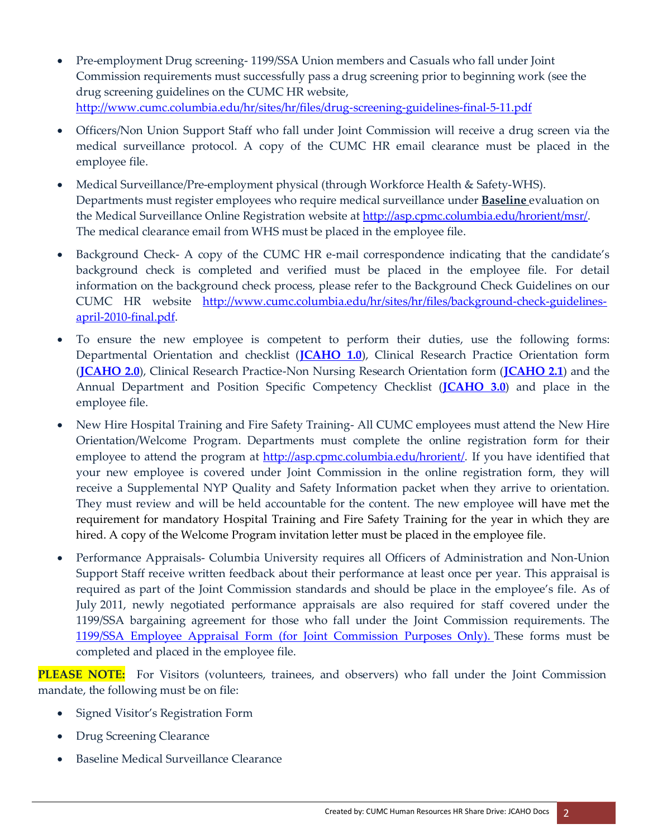- Pre-employment Drug screening- 1199/SSA Union members and Casuals who fall under Joint Commission requirements must successfully pass a drug screening prior to beginning work (see the drug screening guidelines on the CUMC HR website, <http://www.cumc.columbia.edu/hr/sites/hr/files/drug-screening-guidelines-final-5-11.pdf>
- Officers/Non Union Support Staff who fall under Joint Commission will receive a drug screen via the medical surveillance protocol. A copy of the CUMC HR email clearance must be placed in the employee file.
- Medical Surveillance/Pre-employment physical (through Workforce Health & Safety-WHS). Departments must register employees who require medical surveillance under **Baseline** evaluation on the Medical Surveillance Online Registration website at [http://asp.cpmc.columbia.edu/hrorient/msr/.](http://asp.cpmc.columbia.edu/hrorient/msr/) The medical clearance email from WHS must be placed in the employee file.
- Background Check- A copy of the CUMC HR e-mail correspondence indicating that the candidate's background check is completed and verified must be placed in the employee file. For detail information on the background check process, please refer to the Background Check Guidelines on our CUMC HR website [http://www.cumc.columbia.edu/hr/sites/hr/files/background-check-guidelines](http://www.cumc.columbia.edu/hr/sites/hr/files/background-check-guidelines-april-2010-final.pdf)[april-2010-final.pdf.](http://www.cumc.columbia.edu/hr/sites/hr/files/background-check-guidelines-april-2010-final.pdf)
- To ensure the new employee is competent to perform their duties, use the following forms: Departmental Orientation and checklist (**[JCAHO](http://www.cumc.columbia.edu/hr/sites/hr/files/CUMC_JCAHO_1_0_Department_Orientation.pdf) 1.0**), Clinical Research Practice Orientation form (**[JCAHO](http://www.cumc.columbia.edu/hr/sites/hr/files/CUMC_JCAHO_2_0_CRNSP.pdf) 2.0**), Clinical Research Practice-Non Nursing Research Orientation form (**[JCAHO](http://www.cumc.columbia.edu/hr/sites/hr/files/CUMC_JCAHO_2_1_CRPNN.pdf) 2.1**) and the Annual Department and Position Specific Competency Checklist (**[JCAHO](http://www.cumc.columbia.edu/hr/sites/hr/files/CUMC_JCAHO_3_0_Annual_Department_and_Competency_Checklist.pdf) 3.0**) and place in the employee file.
- New Hire Hospital Training and Fire Safety Training- All CUMC employees must attend the New Hire Orientation/Welcome Program. Departments must complete the online registration form for their employee to attend the program at [http://asp.cpmc.columbia.edu/hrorient/.](http://asp.cpmc.columbia.edu/hrorient/) If you have identified that your new employee is covered under Joint Commission in the online registration form, they will receive a Supplemental NYP Quality and Safety Information packet when they arrive to orientation. They must review and will be held accountable for the content. The new employee will have met the requirement for mandatory Hospital Training and Fire Safety Training for the year in which they are hired. A copy of the Welcome Program invitation letter must be placed in the employee file.
- Performance Appraisals- Columbia University requires all Officers of Administration and Non-Union Support Staff receive written feedback about their performance at least once per year. This appraisal is required as part of the Joint Commission standards and should be place in the employee's file. As of July 2011, newly negotiated performance appraisals are also required for staff covered under the 1199/SSA bargaining agreement for those who fall under the Joint Commission requirements. The 1199/SSA Employee Appraisal Form (for Joint Commission Purposes Only). These forms must be completed and placed in the employee file.

**PLEASE NOTE:** For Visitors (volunteers, trainees, and observers) who fall under the Joint Commission mandate, the following must be on file:

- Signed Visitor's Registration Form
- Drug Screening Clearance
- Baseline Medical Surveillance Clearance